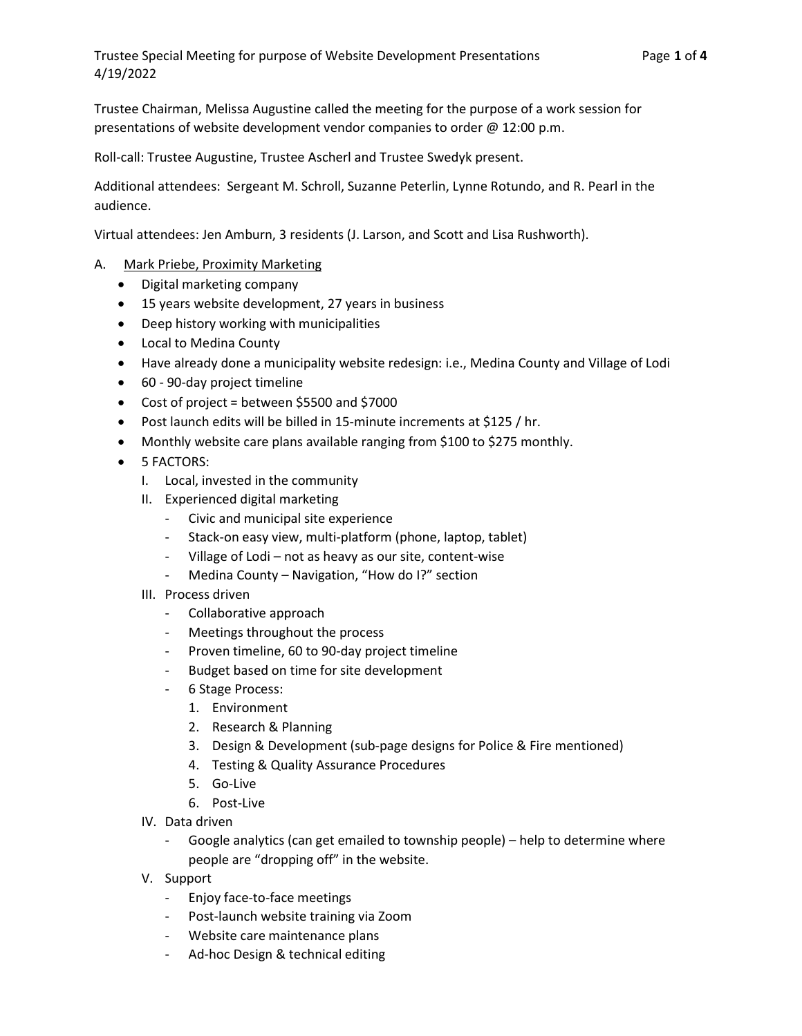Trustee Chairman, Melissa Augustine called the meeting for the purpose of a work session for presentations of website development vendor companies to order @ 12:00 p.m.

Roll-call: Trustee Augustine, Trustee Ascherl and Trustee Swedyk present.

Additional attendees: Sergeant M. Schroll, Suzanne Peterlin, Lynne Rotundo, and R. Pearl in the audience.

Virtual attendees: Jen Amburn, 3 residents (J. Larson, and Scott and Lisa Rushworth).

## A. Mark Priebe, Proximity Marketing

- Digital marketing company
- 15 years website development, 27 years in business
- Deep history working with municipalities
- Local to Medina County
- Have already done a municipality website redesign: i.e., Medina County and Village of Lodi
- 60 90-day project timeline
- Cost of project = between \$5500 and \$7000
- Post launch edits will be billed in 15-minute increments at \$125 / hr.
- Monthly website care plans available ranging from \$100 to \$275 monthly.
- **•** 5 FACTORS:
	- I. Local, invested in the community
	- II. Experienced digital marketing
		- Civic and municipal site experience
		- Stack-on easy view, multi-platform (phone, laptop, tablet)
		- Village of Lodi not as heavy as our site, content-wise
		- Medina County Navigation, "How do I?" section
	- III. Process driven
		- Collaborative approach
		- Meetings throughout the process
		- Proven timeline, 60 to 90-day project timeline
		- Budget based on time for site development
		- 6 Stage Process:
			- 1. Environment
			- 2. Research & Planning
			- 3. Design & Development (sub-page designs for Police & Fire mentioned)
			- 4. Testing & Quality Assurance Procedures
			- 5. Go-Live
			- 6. Post-Live
	- IV. Data driven
		- Google analytics (can get emailed to township people) help to determine where people are "dropping off" in the website.
	- V. Support
		- Enjoy face-to-face meetings
		- Post-launch website training via Zoom
		- Website care maintenance plans
		- Ad-hoc Design & technical editing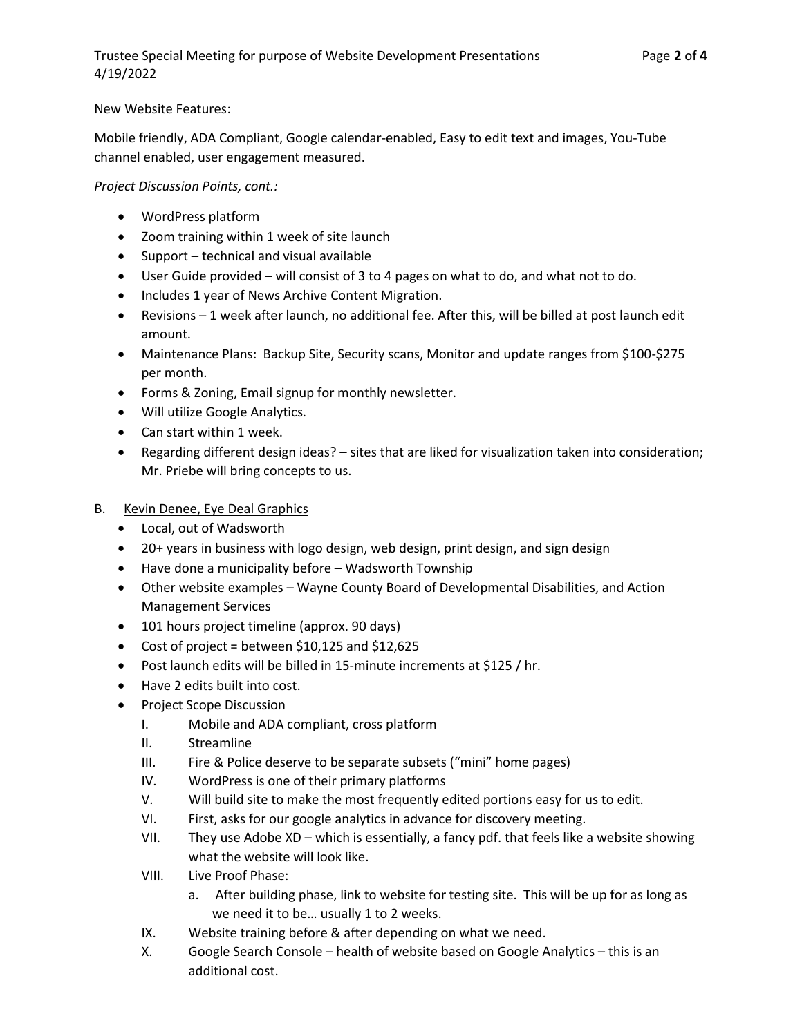## New Website Features:

Mobile friendly, ADA Compliant, Google calendar-enabled, Easy to edit text and images, You-Tube channel enabled, user engagement measured.

## Project Discussion Points, cont.:

- WordPress platform
- Zoom training within 1 week of site launch
- $\bullet$  Support technical and visual available
- User Guide provided will consist of 3 to 4 pages on what to do, and what not to do.
- Includes 1 year of News Archive Content Migration.
- Revisions 1 week after launch, no additional fee. After this, will be billed at post launch edit amount.
- Maintenance Plans: Backup Site, Security scans, Monitor and update ranges from \$100-\$275 per month.
- Forms & Zoning, Email signup for monthly newsletter.
- Will utilize Google Analytics.
- Can start within 1 week.
- Regarding different design ideas? sites that are liked for visualization taken into consideration; Mr. Priebe will bring concepts to us.
- B. Kevin Denee, Eye Deal Graphics
	- Local, out of Wadsworth
	- 20+ years in business with logo design, web design, print design, and sign design
	- Have done a municipality before Wadsworth Township
	- Other website examples Wayne County Board of Developmental Disabilities, and Action Management Services
	- 101 hours project timeline (approx. 90 days)
	- Cost of project = between \$10,125 and \$12,625
	- Post launch edits will be billed in 15-minute increments at \$125 / hr.
	- Have 2 edits built into cost.
	- Project Scope Discussion
		- I. Mobile and ADA compliant, cross platform
		- II. Streamline
		- III. Fire & Police deserve to be separate subsets ("mini" home pages)
		- IV. WordPress is one of their primary platforms
		- V. Will build site to make the most frequently edited portions easy for us to edit.
		- VI. First, asks for our google analytics in advance for discovery meeting.
		- VII. They use Adobe XD which is essentially, a fancy pdf. that feels like a website showing what the website will look like.
		- VIII. Live Proof Phase:
			- a. After building phase, link to website for testing site. This will be up for as long as we need it to be… usually 1 to 2 weeks.
		- IX. Website training before & after depending on what we need.
		- X. Google Search Console health of website based on Google Analytics this is an additional cost.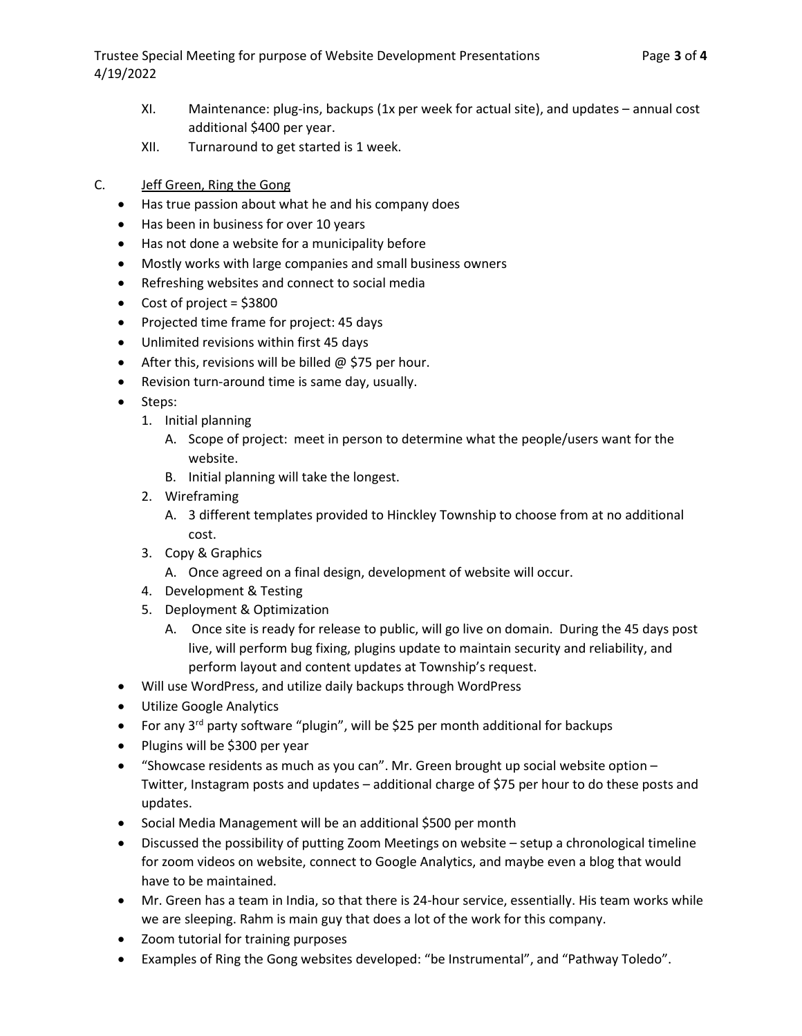Trustee Special Meeting for purpose of Website Development Presentations Page 3 of 4 4/19/2022

- XI. Maintenance: plug-ins, backups (1x per week for actual site), and updates annual cost additional \$400 per year.
- XII. Turnaround to get started is 1 week.
- C. Jeff Green, Ring the Gong
	- Has true passion about what he and his company does
	- Has been in business for over 10 years
	- Has not done a website for a municipality before
	- Mostly works with large companies and small business owners
	- Refreshing websites and connect to social media
	- Cost of project =  $$3800$
	- Projected time frame for project: 45 days
	- Unlimited revisions within first 45 days
	- $\bullet$  After this, revisions will be billed @ \$75 per hour.
	- Revision turn-around time is same day, usually.
	- Steps:
		- 1. Initial planning
			- A. Scope of project: meet in person to determine what the people/users want for the website.
			- B. Initial planning will take the longest.
		- 2. Wireframing
			- A. 3 different templates provided to Hinckley Township to choose from at no additional cost.
		- 3. Copy & Graphics
			- A. Once agreed on a final design, development of website will occur.
		- 4. Development & Testing
		- 5. Deployment & Optimization
			- A. Once site is ready for release to public, will go live on domain. During the 45 days post live, will perform bug fixing, plugins update to maintain security and reliability, and perform layout and content updates at Township's request.
	- Will use WordPress, and utilize daily backups through WordPress
	- Utilize Google Analytics
	- For any  $3^{rd}$  party software "plugin", will be \$25 per month additional for backups
	- Plugins will be \$300 per year
	- "Showcase residents as much as you can". Mr. Green brought up social website option Twitter, Instagram posts and updates – additional charge of \$75 per hour to do these posts and updates.
	- Social Media Management will be an additional \$500 per month
	- Discussed the possibility of putting Zoom Meetings on website setup a chronological timeline for zoom videos on website, connect to Google Analytics, and maybe even a blog that would have to be maintained.
	- Mr. Green has a team in India, so that there is 24-hour service, essentially. His team works while we are sleeping. Rahm is main guy that does a lot of the work for this company.
	- Zoom tutorial for training purposes
	- Examples of Ring the Gong websites developed: "be Instrumental", and "Pathway Toledo".